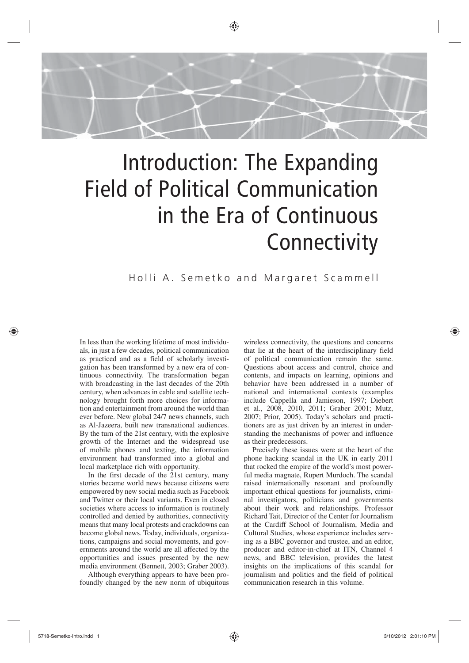

◈

# Introduction: The Expanding Field of Political Communication in the Era of Continuous **Connectivity**

Holli A. Semetko and Margaret Scammell

In less than the working lifetime of most individuals, in just a few decades, political communication as practiced and as a field of scholarly investigation has been transformed by a new era of continuous connectivity. The transformation began with broadcasting in the last decades of the 20th century, when advances in cable and satellite technology brought forth more choices for information and entertainment from around the world than ever before. New global 24/7 news channels, such as Al-Jazeera, built new transnational audiences. By the turn of the 21st century, with the explosive growth of the Internet and the widespread use of mobile phones and texting, the information environment had transformed into a global and local marketplace rich with opportunity.

In the first decade of the 21st century, many stories became world news because citizens were empowered by new social media such as Facebook and Twitter or their local variants. Even in closed societies where access to information is routinely controlled and denied by authorities, connectivity means that many local protests and crackdowns can become global news. Today, individuals, organizations, campaigns and social movements, and governments around the world are all affected by the opportunities and issues presented by the new media environment (Bennett, 2003; Graber 2003).

Although everything appears to have been profoundly changed by the new norm of ubiquitous wireless connectivity, the questions and concerns that lie at the heart of the interdisciplinary field of political communication remain the same. Questions about access and control, choice and contents, and impacts on learning, opinions and behavior have been addressed in a number of national and international contexts (examples include Cappella and Jamieson, 1997; Diebert et al., 2008, 2010, 2011; Graber 2001; Mutz, 2007; Prior, 2005). Today's scholars and practitioners are as just driven by an interest in understanding the mechanisms of power and influence as their predecessors.

Precisely these issues were at the heart of the phone hacking scandal in the UK in early 2011 that rocked the empire of the world's most powerful media magnate, Rupert Murdoch. The scandal raised internationally resonant and profoundly important ethical questions for journalists, criminal investigators, politicians and governments about their work and relationships. Professor Richard Tait, Director of the Center for Journalism at the Cardiff School of Journalism, Media and Cultural Studies, whose experience includes serving as a BBC governor and trustee, and an editor, producer and editor-in-chief at ITN, Channel 4 news, and BBC television, provides the latest insights on the implications of this scandal for journalism and politics and the field of political communication research in this volume.

♠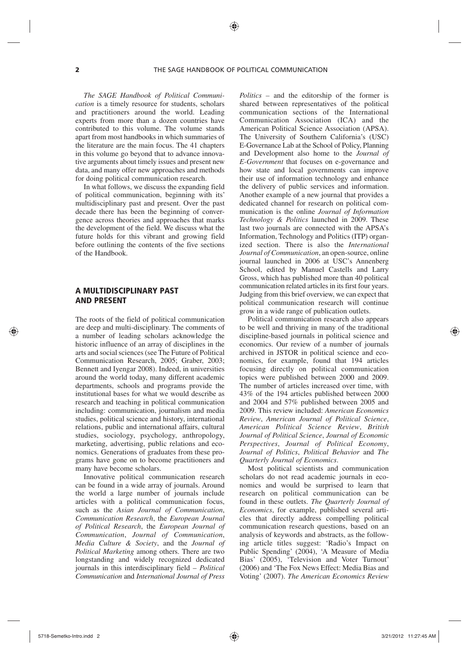♠

*The SAGE Handbook of Political Communication* is a timely resource for students, scholars and practitioners around the world. Leading experts from more than a dozen countries have contributed to this volume. The volume stands apart from most handbooks in which summaries of the literature are the main focus. The 41 chapters in this volume go beyond that to advance innovative arguments about timely issues and present new data, and many offer new approaches and methods for doing political communication research.

In what follows, we discuss the expanding field of political communication, beginning with its' multidisciplinary past and present. Over the past decade there has been the beginning of convergence across theories and approaches that marks the development of the field. We discuss what the future holds for this vibrant and growing field before outlining the contents of the five sections of the Handbook.

# A MULTIDISCIPLINARY PAST AND PRESENT

The roots of the field of political communication are deep and multi-disciplinary. The comments of a number of leading scholars acknowledge the historic influence of an array of disciplines in the arts and social sciences (see The Future of Political Communication Research, 2005; Graber, 2003; Bennett and Iyengar 2008). Indeed, in universities around the world today, many different academic departments, schools and programs provide the institutional bases for what we would describe as research and teaching in political communication including: communication, journalism and media studies, political science and history, international relations, public and international affairs, cultural studies, sociology, psychology, anthropology, marketing, advertising, public relations and economics. Generations of graduates from these programs have gone on to become practitioners and many have become scholars.

Innovative political communication research can be found in a wide array of journals. Around the world a large number of journals include articles with a political communication focus, such as the *Asian Journal of Communication*, *Communication Research*, the *European Journal of Political Research*, the *European Journal of Communication*, *Journal of Communication*, *Media Culture & Society*, and the *Journal of Political Marketing* among others. There are two longstanding and widely recognized dedicated journals in this interdisciplinary field – *Political Communication* and *International Journal of Press* 

*Politics –* and the editorship of the former is shared between representatives of the political communication sections of the International Communication Association (ICA) and the American Political Science Association (APSA). The University of Southern California's (USC) E-Governance Lab at the School of Policy, Planning and Development also home to the *Journal of E-Government* that focuses on e-governance and how state and local governments can improve their use of information technology and enhance the delivery of public services and information. Another example of a new journal that provides a dedicated channel for research on political communication is the online *Journal of Information Technology & Politics* launched in 2009. These last two journals are connected with the APSA's Information, Technology and Politics (ITP) organized section. There is also the *International Journal of Communication*, an open-source, online journal launched in 2006 at USC's Annenberg School, edited by Manuel Castells and Larry Gross, which has published more than 40 political communication related articles in its first four years. Judging from this brief overview, we can expect that political communication research will continue grow in a wide range of publication outlets.

Political communication research also appears to be well and thriving in many of the traditional discipline-based journals in political science and economics. Our review of a number of journals archived in JSTOR in political science and economics, for example, found that 194 articles focusing directly on political communication topics were published between 2000 and 2009. The number of articles increased over time, with 43% of the 194 articles published between 2000 and 2004 and 57% published between 2005 and 2009. This review included: *American Economics Review*, *American Journal of Political Science*, *American Political Science Review*, *British Journal of Political Science*, *Journal of Economic Perspectives*, *Journal of Political Economy*, *Journal of Politics*, *Political Behavior* and *The Quarterly Journal of Economics*.

Most political scientists and communication scholars do not read academic journals in economics and would be surprised to learn that research on political communication can be found in these outlets. *The Quarterly Journal of Economics*, for example, published several articles that directly address compelling political communication research questions, based on an analysis of keywords and abstracts, as the following article titles suggest: 'Radio's Impact on Public Spending' (2004), 'A Measure of Media Bias' (2005), 'Television and Voter Turnout' (2006) and 'The Fox News Effect: Media Bias and Voting' (2007). *The American Economics Review*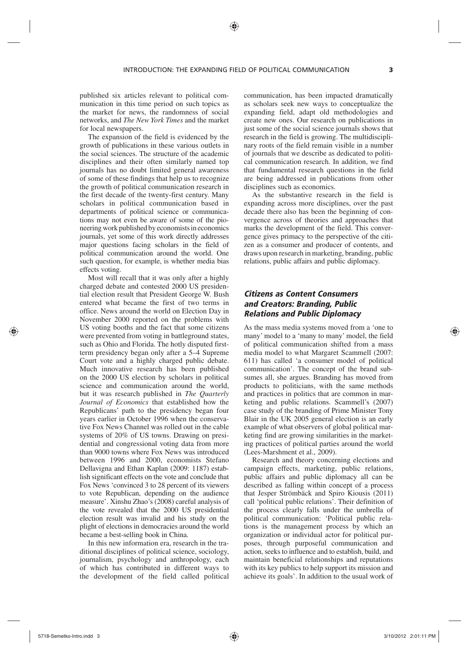#### INTRODUCTION: THE EXPANDING FIELD OF POLITICAL COMMUNICATION **3**

⊕

published six articles relevant to political communication in this time period on such topics as the market for news, the randomness of social networks, and *The New York Times* and the market for local newspapers.

The expansion of the field is evidenced by the growth of publications in these various outlets in the social sciences. The structure of the academic disciplines and their often similarly named top journals has no doubt limited general awareness of some of these findings that help us to recognize the growth of political communication research in the first decade of the twenty-first century. Many scholars in political communication based in departments of political science or communications may not even be aware of some of the pioneering work published by economists in economics journals, yet some of this work directly addresses major questions facing scholars in the field of political communication around the world. One such question, for example, is whether media bias effects voting.

Most will recall that it was only after a highly charged debate and contested 2000 US presidential election result that President George W. Bush entered what became the first of two terms in office. News around the world on Election Day in November 2000 reported on the problems with US voting booths and the fact that some citizens were prevented from voting in battleground states, such as Ohio and Florida. The hotly disputed firstterm presidency began only after a 5–4 Supreme Court vote and a highly charged public debate. Much innovative research has been published on the 2000 US election by scholars in political science and communication around the world, but it was research published in *The Quarterly Journal of Economics* that established how the Republicans' path to the presidency began four years earlier in October 1996 when the conservative Fox News Channel was rolled out in the cable systems of 20% of US towns. Drawing on presidential and congressional voting data from more than 9000 towns where Fox News was introduced between 1996 and 2000, economists Stefano Dellavigna and Ethan Kaplan (2009: 1187) establish significant effects on the vote and conclude that Fox News 'convinced 3 to 28 percent of its viewers to vote Republican, depending on the audience measure'. Xinshu Zhao's (2008) careful analysis of the vote revealed that the 2000 US presidential election result was invalid and his study on the plight of elections in democracies around the world became a best-selling book in China.

In this new information era, research in the traditional disciplines of political science, sociology, journalism, psychology and anthropology, each of which has contributed in different ways to the development of the field called political communication, has been impacted dramatically as scholars seek new ways to conceptualize the expanding field, adapt old methodologies and create new ones. Our research on publications in just some of the social science journals shows that research in the field is growing. The multidisciplinary roots of the field remain visible in a number of journals that we describe as dedicated to political communication research. In addition, we find that fundamental research questions in the field are being addressed in publications from other disciplines such as economics.

As the substantive research in the field is expanding across more disciplines, over the past decade there also has been the beginning of convergence across of theories and approaches that marks the development of the field. This convergence gives primacy to the perspective of the citizen as a consumer and producer of contents, and draws upon research in marketing, branding, public relations, public affairs and public diplomacy.

# *Citizens as Content Consumers and Creators: Branding, Public Relations and Public Diplomacy*

As the mass media systems moved from a 'one to many' model to a 'many to many' model, the field of political communication shifted from a mass media model to what Margaret Scammell (2007: 611) has called 'a consumer model of political communication'. The concept of the brand subsumes all, she argues. Branding has moved from products to politicians, with the same methods and practices in politics that are common in marketing and public relations. Scammell's (2007) case study of the branding of Prime Minister Tony Blair in the UK 2005 general election is an early example of what observers of global political marketing find are growing similarities in the marketing practices of political parties around the world (Lees-Marshment et al., 2009).

Research and theory concerning elections and campaign effects, marketing, public relations, public affairs and public diplomacy all can be described as falling within concept of a process that Jesper Strömbäck and Spiro Kiousis (2011) call 'political public relations'. Their definition of the process clearly falls under the umbrella of political communication: 'Political public relations is the management process by which an organization or individual actor for political purposes, through purposeful communication and action, seeks to influence and to establish, build, and maintain beneficial relationships and reputations with its key publics to help support its mission and achieve its goals'. In addition to the usual work of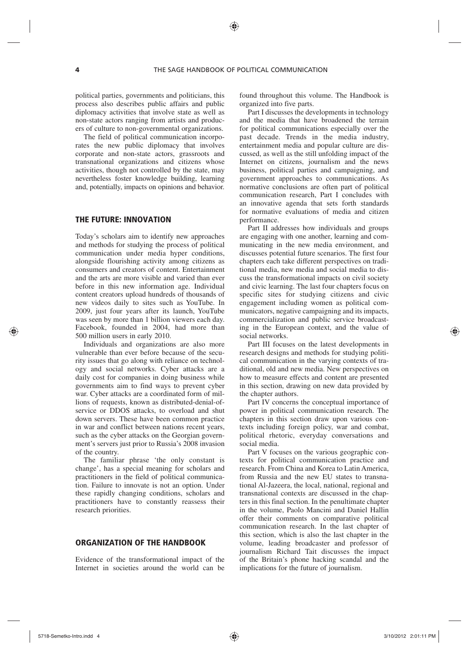political parties, governments and politicians, this process also describes public affairs and public diplomacy activities that involve state as well as non-state actors ranging from artists and producers of culture to non-governmental organizations.

The field of political communication incorporates the new public diplomacy that involves corporate and non-state actors, grassroots and transnational organizations and citizens whose activities, though not controlled by the state, may nevertheless foster knowledge building, learning and, potentially, impacts on opinions and behavior.

# THE FUTURE: INNOVATION

Today's scholars aim to identify new approaches and methods for studying the process of political communication under media hyper conditions, alongside flourishing activity among citizens as consumers and creators of content. Entertainment and the arts are more visible and varied than ever before in this new information age. Individual content creators upload hundreds of thousands of new videos daily to sites such as YouTube. In 2009, just four years after its launch, YouTube was seen by more than 1 billion viewers each day. Facebook, founded in 2004, had more than 500 million users in early 2010.

Individuals and organizations are also more vulnerable than ever before because of the security issues that go along with reliance on technology and social networks. Cyber attacks are a daily cost for companies in doing business while governments aim to find ways to prevent cyber war. Cyber attacks are a coordinated form of millions of requests, known as distributed-denial-ofservice or DDOS attacks, to overload and shut down servers. These have been common practice in war and conflict between nations recent years, such as the cyber attacks on the Georgian government's servers just prior to Russia's 2008 invasion of the country.

The familiar phrase 'the only constant is change', has a special meaning for scholars and practitioners in the field of political communication. Failure to innovate is not an option. Under these rapidly changing conditions, scholars and practitioners have to constantly reassess their research priorities.

## ORGANIZATION OF THE HANDBOOK

Evidence of the transformational impact of the Internet in societies around the world can be found throughout this volume. The Handbook is organized into five parts.

Part I discusses the developments in technology and the media that have broadened the terrain for political communications especially over the past decade. Trends in the media industry, entertainment media and popular culture are discussed, as well as the still unfolding impact of the Internet on citizens, journalism and the news business, political parties and campaigning, and government approaches to communications. As normative conclusions are often part of political communication research, Part I concludes with an innovative agenda that sets forth standards for normative evaluations of media and citizen performance.

Part II addresses how individuals and groups are engaging with one another, learning and communicating in the new media environment, and discusses potential future scenarios. The first four chapters each take different perspectives on traditional media, new media and social media to discuss the transformational impacts on civil society and civic learning. The last four chapters focus on specific sites for studying citizens and civic engagement including women as political communicators, negative campaigning and its impacts, commercialization and public service broadcasting in the European context, and the value of social networks.

Part III focuses on the latest developments in research designs and methods for studying political communication in the varying contexts of traditional, old and new media. New perspectives on how to measure effects and content are presented in this section, drawing on new data provided by the chapter authors.

Part IV concerns the conceptual importance of power in political communication research. The chapters in this section draw upon various contexts including foreign policy, war and combat, political rhetoric, everyday conversations and social media.

Part V focuses on the various geographic contexts for political communication practice and research. From China and Korea to Latin America, from Russia and the new EU states to transnational Al-Jazeera, the local, national, regional and transnational contexts are discussed in the chapters in this final section. In the penultimate chapter in the volume, Paolo Mancini and Daniel Hallin offer their comments on comparative political communication research. In the last chapter of this section, which is also the last chapter in the volume, leading broadcaster and professor of journalism Richard Tait discusses the impact of the Britain's phone hacking scandal and the implications for the future of journalism.